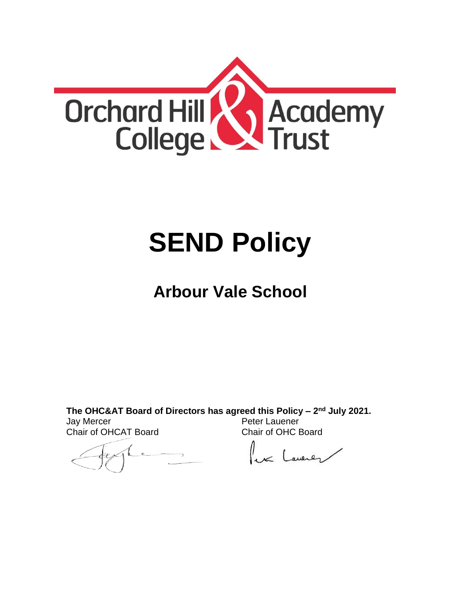

# **SEND Policy**

## **Arbour Vale School**

**The OHC&AT Board of Directors has agreed this Policy – 2 nd July 2021.** Jay Mercer Chair of OHCAT Board Peter Lauener Chair of OHC Board

lex Lawren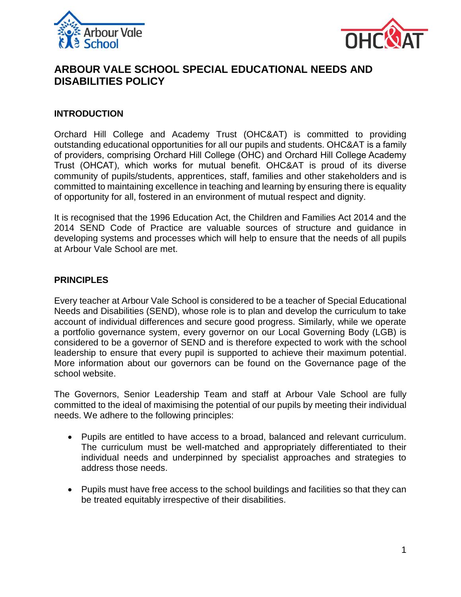



### **ARBOUR VALE SCHOOL SPECIAL EDUCATIONAL NEEDS AND DISABILITIES POLICY**

#### **INTRODUCTION**

Orchard Hill College and Academy Trust (OHC&AT) is committed to providing outstanding educational opportunities for all our pupils and students. OHC&AT is a family of providers, comprising Orchard Hill College (OHC) and Orchard Hill College Academy Trust (OHCAT), which works for mutual benefit. OHC&AT is proud of its diverse community of pupils/students, apprentices, staff, families and other stakeholders and is committed to maintaining excellence in teaching and learning by ensuring there is equality of opportunity for all, fostered in an environment of mutual respect and dignity.

It is recognised that the 1996 Education Act, the Children and Families Act 2014 and the 2014 SEND Code of Practice are valuable sources of structure and guidance in developing systems and processes which will help to ensure that the needs of all pupils at Arbour Vale School are met.

#### **PRINCIPLES**

Every teacher at Arbour Vale School is considered to be a teacher of Special Educational Needs and Disabilities (SEND), whose role is to plan and develop the curriculum to take account of individual differences and secure good progress. Similarly, while we operate a portfolio governance system, every governor on our Local Governing Body (LGB) is considered to be a governor of SEND and is therefore expected to work with the school leadership to ensure that every pupil is supported to achieve their maximum potential. More information about our governors can be found on the Governance page of the school website.

The Governors, Senior Leadership Team and staff at Arbour Vale School are fully committed to the ideal of maximising the potential of our pupils by meeting their individual needs. We adhere to the following principles:

- Pupils are entitled to have access to a broad, balanced and relevant curriculum. The curriculum must be well-matched and appropriately differentiated to their individual needs and underpinned by specialist approaches and strategies to address those needs.
- Pupils must have free access to the school buildings and facilities so that they can be treated equitably irrespective of their disabilities.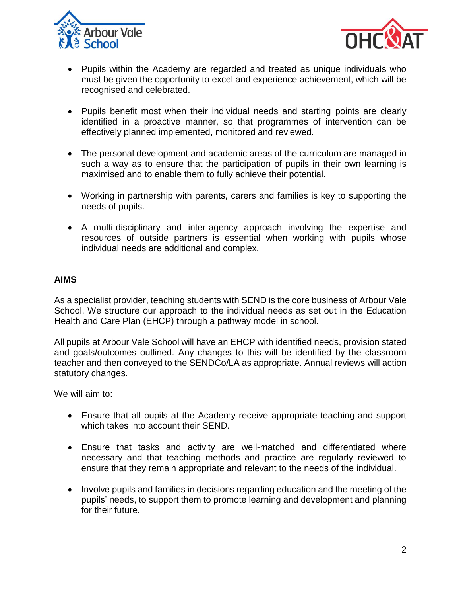



- Pupils within the Academy are regarded and treated as unique individuals who must be given the opportunity to excel and experience achievement, which will be recognised and celebrated.
- Pupils benefit most when their individual needs and starting points are clearly identified in a proactive manner, so that programmes of intervention can be effectively planned implemented, monitored and reviewed.
- The personal development and academic areas of the curriculum are managed in such a way as to ensure that the participation of pupils in their own learning is maximised and to enable them to fully achieve their potential.
- Working in partnership with parents, carers and families is key to supporting the needs of pupils.
- A multi-disciplinary and inter-agency approach involving the expertise and resources of outside partners is essential when working with pupils whose individual needs are additional and complex.

#### **AIMS**

As a specialist provider, teaching students with SEND is the core business of Arbour Vale School. We structure our approach to the individual needs as set out in the Education Health and Care Plan (EHCP) through a pathway model in school.

All pupils at Arbour Vale School will have an EHCP with identified needs, provision stated and goals/outcomes outlined. Any changes to this will be identified by the classroom teacher and then conveyed to the SENDCo/LA as appropriate. Annual reviews will action statutory changes.

We will aim to:

- Ensure that all pupils at the Academy receive appropriate teaching and support which takes into account their SEND.
- Ensure that tasks and activity are well-matched and differentiated where necessary and that teaching methods and practice are regularly reviewed to ensure that they remain appropriate and relevant to the needs of the individual.
- Involve pupils and families in decisions regarding education and the meeting of the pupils' needs, to support them to promote learning and development and planning for their future.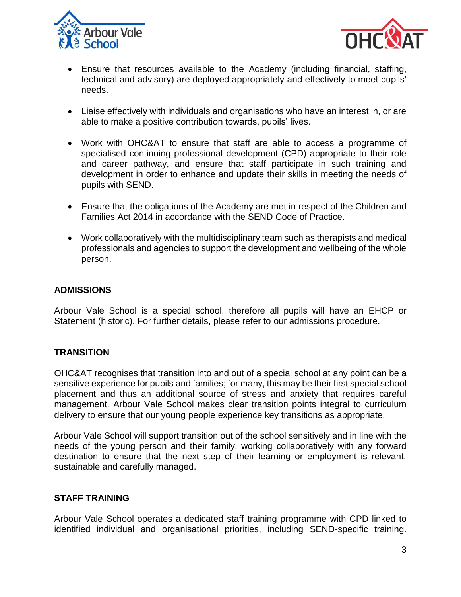



- Ensure that resources available to the Academy (including financial, staffing, technical and advisory) are deployed appropriately and effectively to meet pupils' needs.
- Liaise effectively with individuals and organisations who have an interest in, or are able to make a positive contribution towards, pupils' lives.
- Work with OHC&AT to ensure that staff are able to access a programme of specialised continuing professional development (CPD) appropriate to their role and career pathway, and ensure that staff participate in such training and development in order to enhance and update their skills in meeting the needs of pupils with SEND.
- Ensure that the obligations of the Academy are met in respect of the Children and Families Act 2014 in accordance with the SEND Code of Practice.
- Work collaboratively with the multidisciplinary team such as therapists and medical professionals and agencies to support the development and wellbeing of the whole person.

#### **ADMISSIONS**

Arbour Vale School is a special school, therefore all pupils will have an EHCP or Statement (historic). For further details, please refer to our admissions procedure.

#### **TRANSITION**

OHC&AT recognises that transition into and out of a special school at any point can be a sensitive experience for pupils and families; for many, this may be their first special school placement and thus an additional source of stress and anxiety that requires careful management. Arbour Vale School makes clear transition points integral to curriculum delivery to ensure that our young people experience key transitions as appropriate.

Arbour Vale School will support transition out of the school sensitively and in line with the needs of the young person and their family, working collaboratively with any forward destination to ensure that the next step of their learning or employment is relevant, sustainable and carefully managed.

#### **STAFF TRAINING**

Arbour Vale School operates a dedicated staff training programme with CPD linked to identified individual and organisational priorities, including SEND-specific training.